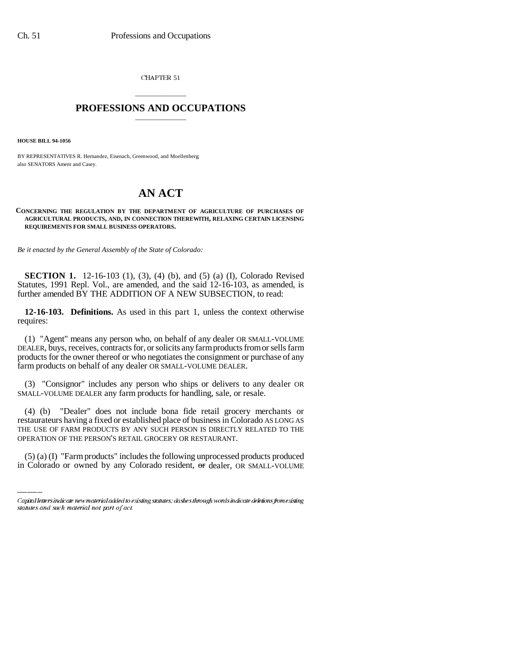CHAPTER 51

## \_\_\_\_\_\_\_\_\_\_\_\_\_\_\_ **PROFESSIONS AND OCCUPATIONS** \_\_\_\_\_\_\_\_\_\_\_\_\_\_\_

**HOUSE BILL 94-1056**

BY REPRESENTATIVES R. Hernandez, Eisenach, Greenwood, and Moellenberg; also SENATORS Ament and Casey.

## **AN ACT**

## **CONCERNING THE REGULATION BY THE DEPARTMENT OF AGRICULTURE OF PURCHASES OF AGRICULTURAL PRODUCTS, AND, IN CONNECTION THEREWITH, RELAXING CERTAIN LICENSING REQUIREMENTS FOR SMALL BUSINESS OPERATORS.**

*Be it enacted by the General Assembly of the State of Colorado:*

**SECTION 1.** 12-16-103 (1), (3), (4) (b), and (5) (a) (I), Colorado Revised Statutes, 1991 Repl. Vol., are amended, and the said 12-16-103, as amended, is further amended BY THE ADDITION OF A NEW SUBSECTION, to read:

**12-16-103. Definitions.** As used in this part 1, unless the context otherwise requires:

(1) "Agent" means any person who, on behalf of any dealer OR SMALL-VOLUME DEALER, buys, receives, contracts for, or solicits any farm products from or sells farm products for the owner thereof or who negotiates the consignment or purchase of any farm products on behalf of any dealer OR SMALL-VOLUME DEALER.

(3) "Consignor" includes any person who ships or delivers to any dealer OR SMALL-VOLUME DEALER any farm products for handling, sale, or resale.

THE USE OF FARM PRODUCTS BY ANY SUCH PERSON IS DIRECTLY RELATED TO THE (4) (b) "Dealer" does not include bona fide retail grocery merchants or restaurateurs having a fixed or established place of business in Colorado AS LONG AS OPERATION OF THE PERSON'S RETAIL GROCERY OR RESTAURANT.

(5) (a) (I) "Farm products" includes the following unprocessed products produced in Colorado or owned by any Colorado resident, or dealer, OR SMALL-VOLUME

Capital letters indicate new material added to existing statutes; dashes through words indicate deletions from existing statutes and such material not part of act.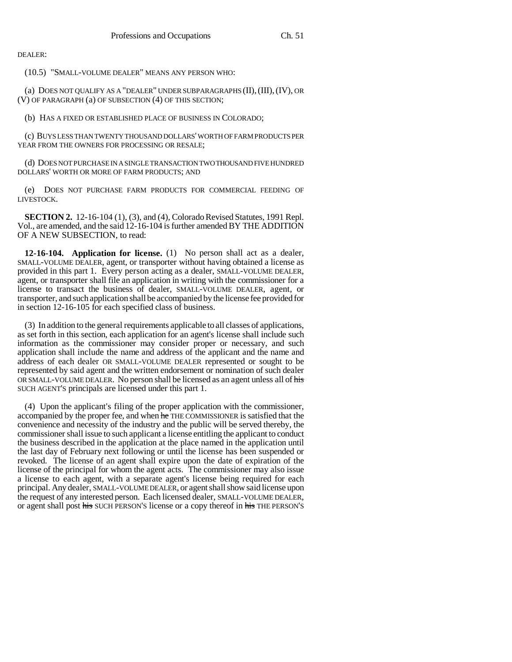DEALER:

(10.5) "SMALL-VOLUME DEALER" MEANS ANY PERSON WHO:

(a) DOES NOT QUALIFY AS A "DEALER" UNDER SUBPARAGRAPHS  $(II), (III), (IV),$  OR (V) OF PARAGRAPH (a) OF SUBSECTION (4) OF THIS SECTION;

(b) HAS A FIXED OR ESTABLISHED PLACE OF BUSINESS IN COLORADO;

(c) BUYS LESS THAN TWENTY THOUSAND DOLLARS' WORTH OF FARM PRODUCTS PER YEAR FROM THE OWNERS FOR PROCESSING OR RESALE;

(d) DOES NOT PURCHASE IN A SINGLE TRANSACTION TWO THOUSAND FIVE HUNDRED DOLLARS' WORTH OR MORE OF FARM PRODUCTS; AND

(e) DOES NOT PURCHASE FARM PRODUCTS FOR COMMERCIAL FEEDING OF LIVESTOCK.

**SECTION 2.** 12-16-104 (1), (3), and (4), Colorado Revised Statutes, 1991 Repl. Vol., are amended, and the said 12-16-104 is further amended BY THE ADDITION OF A NEW SUBSECTION, to read:

**12-16-104. Application for license.** (1) No person shall act as a dealer, SMALL-VOLUME DEALER, agent, or transporter without having obtained a license as provided in this part 1. Every person acting as a dealer, SMALL-VOLUME DEALER, agent, or transporter shall file an application in writing with the commissioner for a license to transact the business of dealer, SMALL-VOLUME DEALER, agent, or transporter, and such application shall be accompanied by the license fee provided for in section 12-16-105 for each specified class of business.

(3) In addition to the general requirements applicable to all classes of applications, as set forth in this section, each application for an agent's license shall include such information as the commissioner may consider proper or necessary, and such application shall include the name and address of the applicant and the name and address of each dealer OR SMALL-VOLUME DEALER represented or sought to be represented by said agent and the written endorsement or nomination of such dealer OR SMALL-VOLUME DEALER. No person shall be licensed as an agent unless all of his SUCH AGENT'S principals are licensed under this part 1.

(4) Upon the applicant's filing of the proper application with the commissioner, accompanied by the proper fee, and when he THE COMMISSIONER is satisfied that the convenience and necessity of the industry and the public will be served thereby, the commissioner shall issue to such applicant a license entitling the applicant to conduct the business described in the application at the place named in the application until the last day of February next following or until the license has been suspended or revoked. The license of an agent shall expire upon the date of expiration of the license of the principal for whom the agent acts. The commissioner may also issue a license to each agent, with a separate agent's license being required for each principal. Any dealer, SMALL-VOLUME DEALER, or agent shall show said license upon the request of any interested person. Each licensed dealer, SMALL-VOLUME DEALER, or agent shall post his SUCH PERSON'S license or a copy thereof in his THE PERSON'S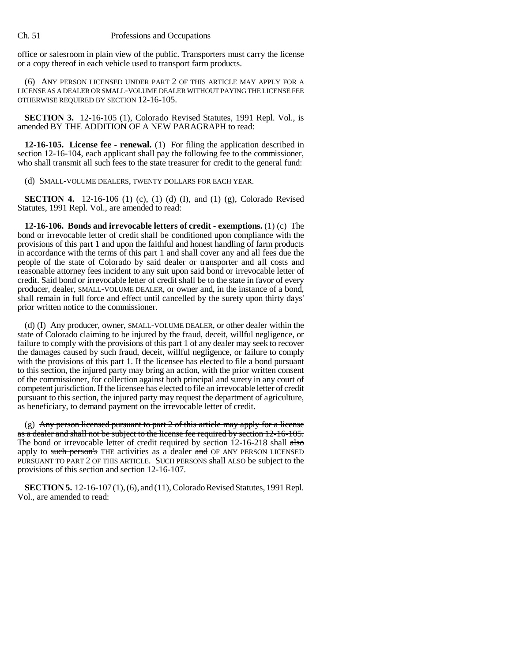## Ch. 51 Professions and Occupations

office or salesroom in plain view of the public. Transporters must carry the license or a copy thereof in each vehicle used to transport farm products.

(6) ANY PERSON LICENSED UNDER PART 2 OF THIS ARTICLE MAY APPLY FOR A LICENSE AS A DEALER OR SMALL-VOLUME DEALER WITHOUT PAYING THE LICENSE FEE OTHERWISE REQUIRED BY SECTION 12-16-105.

**SECTION 3.** 12-16-105 (1), Colorado Revised Statutes, 1991 Repl. Vol., is amended BY THE ADDITION OF A NEW PARAGRAPH to read:

**12-16-105. License fee - renewal.** (1) For filing the application described in section 12-16-104, each applicant shall pay the following fee to the commissioner, who shall transmit all such fees to the state treasurer for credit to the general fund:

(d) SMALL-VOLUME DEALERS, TWENTY DOLLARS FOR EACH YEAR.

**SECTION 4.** 12-16-106 (1) (c), (1) (d) (I), and (1) (g), Colorado Revised Statutes, 1991 Repl. Vol., are amended to read:

**12-16-106. Bonds and irrevocable letters of credit - exemptions.** (1) (c) The bond or irrevocable letter of credit shall be conditioned upon compliance with the provisions of this part 1 and upon the faithful and honest handling of farm products in accordance with the terms of this part 1 and shall cover any and all fees due the people of the state of Colorado by said dealer or transporter and all costs and reasonable attorney fees incident to any suit upon said bond or irrevocable letter of credit. Said bond or irrevocable letter of credit shall be to the state in favor of every producer, dealer, SMALL-VOLUME DEALER, or owner and, in the instance of a bond, shall remain in full force and effect until cancelled by the surety upon thirty days' prior written notice to the commissioner.

(d) (I) Any producer, owner, SMALL-VOLUME DEALER, or other dealer within the state of Colorado claiming to be injured by the fraud, deceit, willful negligence, or failure to comply with the provisions of this part 1 of any dealer may seek to recover the damages caused by such fraud, deceit, willful negligence, or failure to comply with the provisions of this part 1. If the licensee has elected to file a bond pursuant to this section, the injured party may bring an action, with the prior written consent of the commissioner, for collection against both principal and surety in any court of competent jurisdiction. If the licensee has elected to file an irrevocable letter of credit pursuant to this section, the injured party may request the department of agriculture, as beneficiary, to demand payment on the irrevocable letter of credit.

(g) Any person licensed pursuant to part  $2$  of this article may apply for a license as a dealer and shall not be subject to the license fee required by section 12-16-105. The bond or irrevocable letter of credit required by section 12-16-218 shall also apply to such person's THE activities as a dealer and OF ANY PERSON LICENSED PURSUANT TO PART 2 OF THIS ARTICLE. SUCH PERSONS shall ALSO be subject to the provisions of this section and section 12-16-107.

**SECTION 5.** 12-16-107 (1), (6), and (11), Colorado Revised Statutes, 1991 Repl. Vol., are amended to read: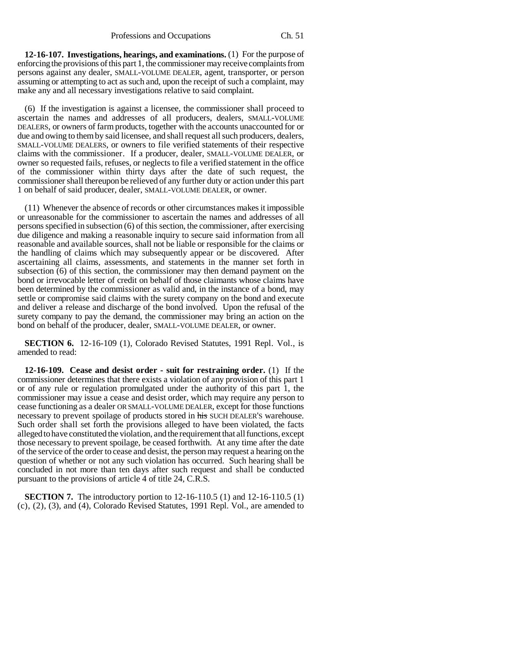**12-16-107. Investigations, hearings, and examinations.** (1) For the purpose of enforcing the provisions of this part 1, the commissioner may receive complaints from persons against any dealer, SMALL-VOLUME DEALER, agent, transporter, or person assuming or attempting to act as such and, upon the receipt of such a complaint, may make any and all necessary investigations relative to said complaint.

(6) If the investigation is against a licensee, the commissioner shall proceed to ascertain the names and addresses of all producers, dealers, SMALL-VOLUME DEALERS, or owners of farm products, together with the accounts unaccounted for or due and owing to them by said licensee, and shall request all such producers, dealers, SMALL-VOLUME DEALERS, or owners to file verified statements of their respective claims with the commissioner. If a producer, dealer, SMALL-VOLUME DEALER, or owner so requested fails, refuses, or neglects to file a verified statement in the office of the commissioner within thirty days after the date of such request, the commissioner shall thereupon be relieved of any further duty or action under this part 1 on behalf of said producer, dealer, SMALL-VOLUME DEALER, or owner.

(11) Whenever the absence of records or other circumstances makes it impossible or unreasonable for the commissioner to ascertain the names and addresses of all persons specified in subsection (6) of this section, the commissioner, after exercising due diligence and making a reasonable inquiry to secure said information from all reasonable and available sources, shall not be liable or responsible for the claims or the handling of claims which may subsequently appear or be discovered. After ascertaining all claims, assessments, and statements in the manner set forth in subsection (6) of this section, the commissioner may then demand payment on the bond or irrevocable letter of credit on behalf of those claimants whose claims have been determined by the commissioner as valid and, in the instance of a bond, may settle or compromise said claims with the surety company on the bond and execute and deliver a release and discharge of the bond involved. Upon the refusal of the surety company to pay the demand, the commissioner may bring an action on the bond on behalf of the producer, dealer, SMALL-VOLUME DEALER, or owner.

**SECTION 6.** 12-16-109 (1), Colorado Revised Statutes, 1991 Repl. Vol., is amended to read:

**12-16-109. Cease and desist order - suit for restraining order.** (1) If the commissioner determines that there exists a violation of any provision of this part 1 or of any rule or regulation promulgated under the authority of this part 1, the commissioner may issue a cease and desist order, which may require any person to cease functioning as a dealer OR SMALL-VOLUME DEALER, except for those functions necessary to prevent spoilage of products stored in his SUCH DEALER'S warehouse. Such order shall set forth the provisions alleged to have been violated, the facts alleged to have constituted the violation, and the requirement that all functions, except those necessary to prevent spoilage, be ceased forthwith. At any time after the date of the service of the order to cease and desist, the person may request a hearing on the question of whether or not any such violation has occurred. Such hearing shall be concluded in not more than ten days after such request and shall be conducted pursuant to the provisions of article 4 of title 24, C.R.S.

**SECTION 7.** The introductory portion to 12-16-110.5 (1) and 12-16-110.5 (1) (c), (2), (3), and (4), Colorado Revised Statutes, 1991 Repl. Vol., are amended to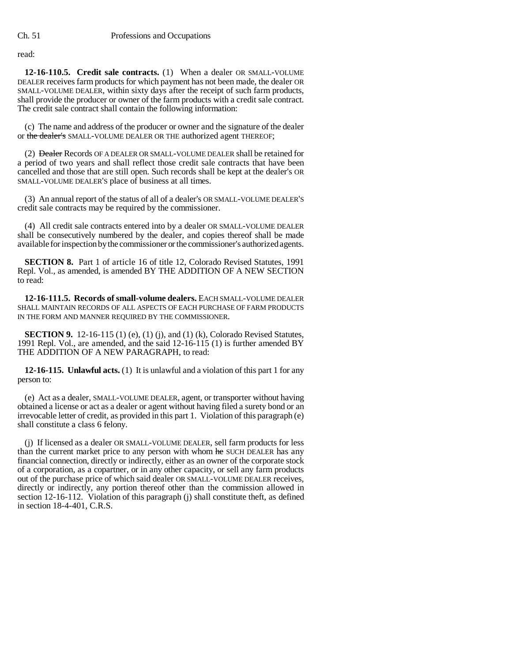read:

**12-16-110.5. Credit sale contracts.** (1) When a dealer OR SMALL-VOLUME DEALER receives farm products for which payment has not been made, the dealer OR SMALL-VOLUME DEALER, within sixty days after the receipt of such farm products, shall provide the producer or owner of the farm products with a credit sale contract. The credit sale contract shall contain the following information:

(c) The name and address of the producer or owner and the signature of the dealer or the dealer's SMALL-VOLUME DEALER OR THE authorized agent THEREOF;

(2) <del>Dealer</del> Records OF A DEALER OR SMALL-VOLUME DEALER shall be retained for a period of two years and shall reflect those credit sale contracts that have been cancelled and those that are still open. Such records shall be kept at the dealer's OR SMALL-VOLUME DEALER'S place of business at all times.

(3) An annual report of the status of all of a dealer's OR SMALL-VOLUME DEALER'S credit sale contracts may be required by the commissioner.

(4) All credit sale contracts entered into by a dealer OR SMALL-VOLUME DEALER shall be consecutively numbered by the dealer, and copies thereof shall be made available for inspection by the commissioner or the commissioner's authorized agents.

**SECTION 8.** Part 1 of article 16 of title 12, Colorado Revised Statutes, 1991 Repl. Vol., as amended, is amended BY THE ADDITION OF A NEW SECTION to read:

**12-16-111.5. Records of small-volume dealers.** EACH SMALL-VOLUME DEALER SHALL MAINTAIN RECORDS OF ALL ASPECTS OF EACH PURCHASE OF FARM PRODUCTS IN THE FORM AND MANNER REQUIRED BY THE COMMISSIONER.

**SECTION 9.** 12-16-115 (1) (e), (1) (j), and (1) (k), Colorado Revised Statutes, 1991 Repl. Vol., are amended, and the said 12-16-115 (1) is further amended BY THE ADDITION OF A NEW PARAGRAPH, to read:

**12-16-115. Unlawful acts.** (1) It is unlawful and a violation of this part 1 for any person to:

(e) Act as a dealer, SMALL-VOLUME DEALER, agent, or transporter without having obtained a license or act as a dealer or agent without having filed a surety bond or an irrevocable letter of credit, as provided in this part 1. Violation of this paragraph (e) shall constitute a class 6 felony.

(j) If licensed as a dealer OR SMALL-VOLUME DEALER, sell farm products for less than the current market price to any person with whom he SUCH DEALER has any financial connection, directly or indirectly, either as an owner of the corporate stock of a corporation, as a copartner, or in any other capacity, or sell any farm products out of the purchase price of which said dealer OR SMALL-VOLUME DEALER receives, directly or indirectly, any portion thereof other than the commission allowed in section 12-16-112. Violation of this paragraph (j) shall constitute theft, as defined in section 18-4-401, C.R.S.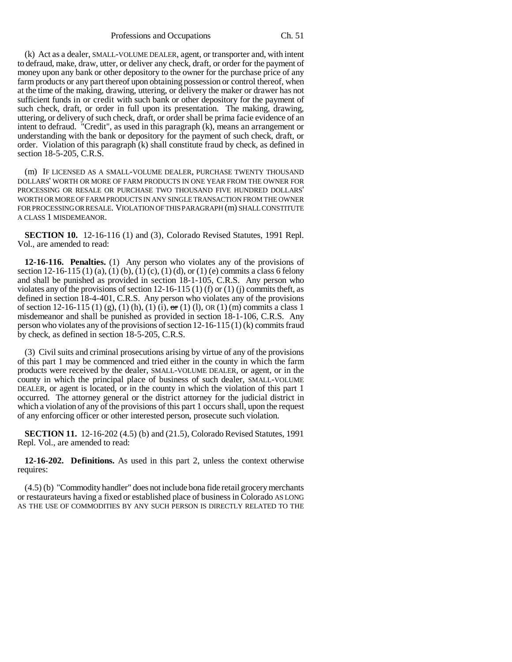(k) Act as a dealer, SMALL-VOLUME DEALER, agent, or transporter and, with intent to defraud, make, draw, utter, or deliver any check, draft, or order for the payment of money upon any bank or other depository to the owner for the purchase price of any farm products or any part thereof upon obtaining possession or control thereof, when at the time of the making, drawing, uttering, or delivery the maker or drawer has not sufficient funds in or credit with such bank or other depository for the payment of such check, draft, or order in full upon its presentation. The making, drawing, uttering, or delivery of such check, draft, or order shall be prima facie evidence of an intent to defraud. "Credit", as used in this paragraph (k), means an arrangement or understanding with the bank or depository for the payment of such check, draft, or order. Violation of this paragraph (k) shall constitute fraud by check, as defined in section 18-5-205, C.R.S.

(m) IF LICENSED AS A SMALL-VOLUME DEALER, PURCHASE TWENTY THOUSAND DOLLARS' WORTH OR MORE OF FARM PRODUCTS IN ONE YEAR FROM THE OWNER FOR PROCESSING OR RESALE OR PURCHASE TWO THOUSAND FIVE HUNDRED DOLLARS' WORTH OR MORE OF FARM PRODUCTS IN ANY SINGLE TRANSACTION FROM THE OWNER FOR PROCESSING OR RESALE. VIOLATION OF THIS PARAGRAPH (m) SHALL CONSTITUTE A CLASS 1 MISDEMEANOR.

**SECTION 10.** 12-16-116 (1) and (3), Colorado Revised Statutes, 1991 Repl. Vol., are amended to read:

**12-16-116. Penalties.** (1) Any person who violates any of the provisions of section 12-16-115 (1) (a), (1) (b), (1) (c), (1) (d), or (1) (e) commits a class 6 felony and shall be punished as provided in section 18-1-105, C.R.S. Any person who violates any of the provisions of section 12-16-115 (1) (f) or (1) (j) commits theft, as defined in section 18-4-401, C.R.S. Any person who violates any of the provisions of section 12-16-115 (1) (g), (1) (h), (1) (i),  $\sigma$ r (1) (l), OR (1) (m) commits a class 1 misdemeanor and shall be punished as provided in section 18-1-106, C.R.S. Any person who violates any of the provisions of section 12-16-115 (1) (k) commits fraud by check, as defined in section 18-5-205, C.R.S.

(3) Civil suits and criminal prosecutions arising by virtue of any of the provisions of this part 1 may be commenced and tried either in the county in which the farm products were received by the dealer, SMALL-VOLUME DEALER, or agent, or in the county in which the principal place of business of such dealer, SMALL-VOLUME DEALER, or agent is located, or in the county in which the violation of this part 1 occurred. The attorney general or the district attorney for the judicial district in which a violation of any of the provisions of this part 1 occurs shall, upon the request of any enforcing officer or other interested person, prosecute such violation.

**SECTION 11.** 12-16-202 (4.5) (b) and (21.5), Colorado Revised Statutes, 1991 Repl. Vol., are amended to read:

**12-16-202. Definitions.** As used in this part 2, unless the context otherwise requires:

(4.5) (b) "Commodity handler" does not include bona fide retail grocery merchants or restaurateurs having a fixed or established place of business in Colorado AS LONG AS THE USE OF COMMODITIES BY ANY SUCH PERSON IS DIRECTLY RELATED TO THE